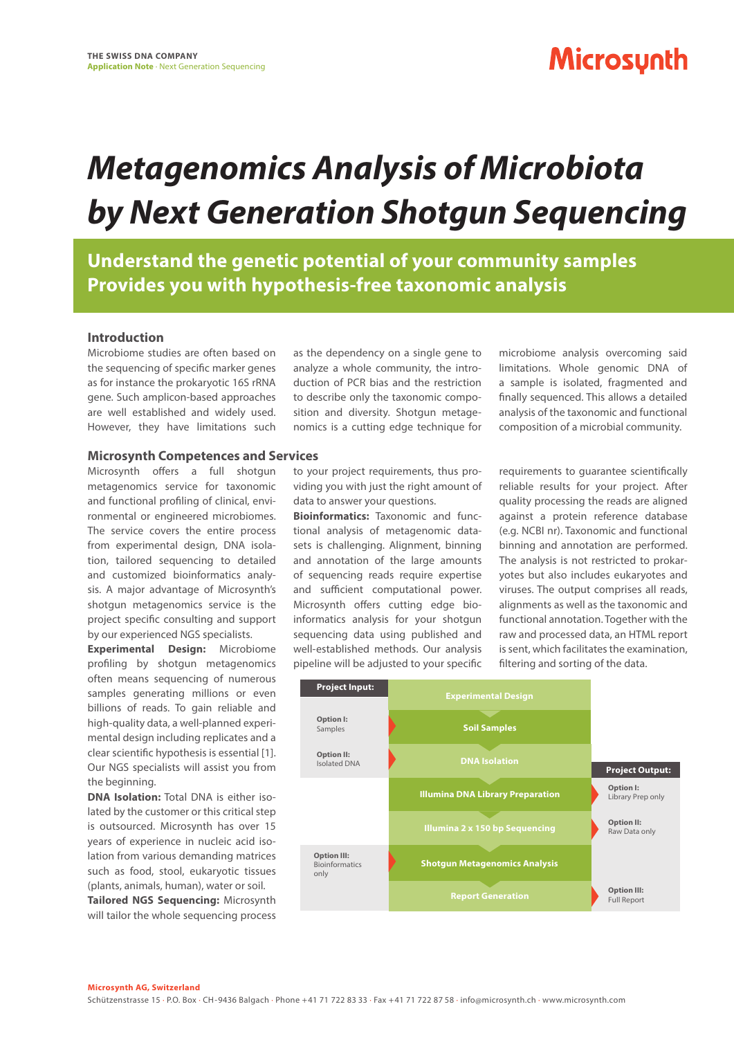### **Microsynth**

# *Metagenomics Analysis of Microbiota by Next Generation Shotgun Sequencing*

**Understand the genetic potential of your community samples Provides you with hypothesis-free taxonomic analysis**

### **Introduction**

Microbiome studies are often based on the sequencing of specific marker genes as for instance the prokaryotic 16S rRNA gene. Such amplicon-based approaches are well established and widely used. However, they have limitations such

#### **Microsynth Competences and Services**

Microsynth offers a full shotgun metagenomics service for taxonomic and functional profiling of clinical, environmental or engineered microbiomes. The service covers the entire process from experimental design, DNA isolation, tailored sequencing to detailed and customized bioinformatics analysis. A major advantage of Microsynth's shotgun metagenomics service is the project specific consulting and support by our experienced NGS specialists.

**Experimental Design:** Microbiome profiling by shotgun metagenomics often means sequencing of numerous samples generating millions or even billions of reads. To gain reliable and high-quality data, a well-planned experimental design including replicates and a clear scientific hypothesis is essential [1]. Our NGS specialists will assist you from the beginning.

**DNA Isolation:** Total DNA is either isolated by the customer or this critical step is outsourced. Microsynth has over 15 years of experience in nucleic acid isolation from various demanding matrices such as food, stool, eukaryotic tissues (plants, animals, human), water or soil. **Tailored NGS Sequencing:** Microsynth

will tailor the whole sequencing process

as the dependency on a single gene to analyze a whole community, the introduction of PCR bias and the restriction to describe only the taxonomic composition and diversity. Shotgun metagenomics is a cutting edge technique for

to your project requirements, thus providing you with just the right amount of data to answer your questions.

**Bioinformatics:** Taxonomic and functional analysis of metagenomic datasets is challenging. Alignment, binning and annotation of the large amounts of sequencing reads require expertise and sufficient computational power. Microsynth offers cutting edge bioinformatics analysis for your shotgun sequencing data using published and well-established methods. Our analysis pipeline will be adjusted to your specific

microbiome analysis overcoming said limitations. Whole genomic DNA of a sample is isolated, fragmented and finally sequenced. This allows a detailed analysis of the taxonomic and functional composition of a microbial community.

requirements to guarantee scientifically reliable results for your project. After quality processing the reads are aligned against a protein reference database (e.g. NCBI nr). Taxonomic and functional binning and annotation are performed. The analysis is not restricted to prokaryotes but also includes eukaryotes and viruses. The output comprises all reads, alignments as well as the taxonomic and functional annotation. Together with the raw and processed data, an HTML report is sent, which facilitates the examination, filtering and sorting of the data.